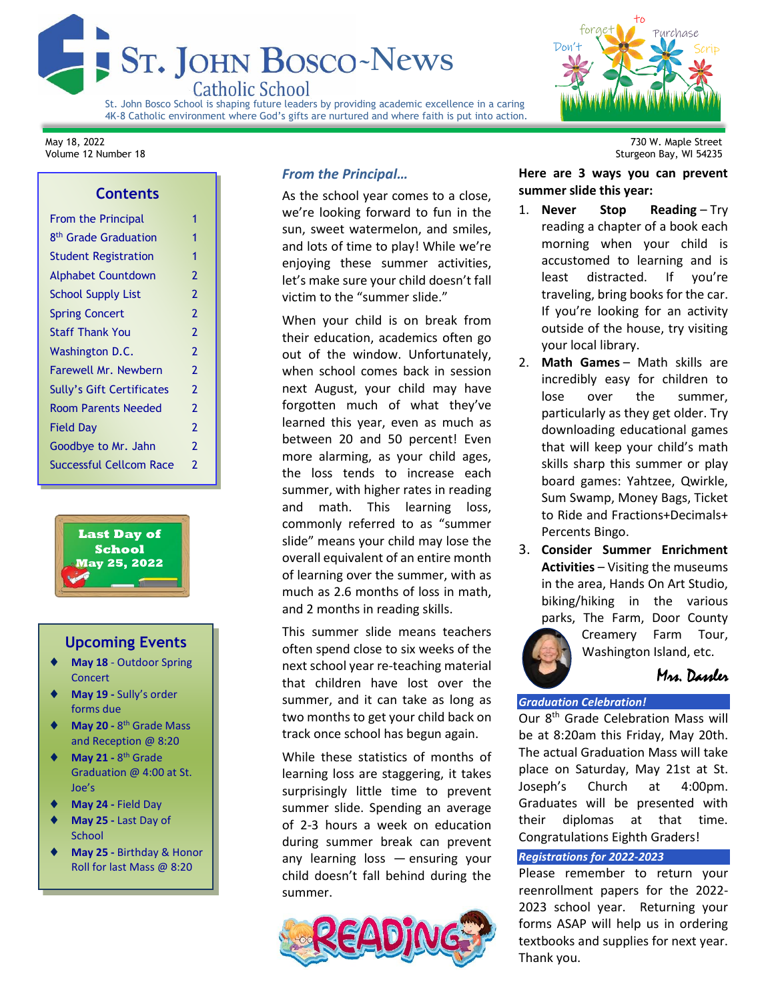

St. John Bosco School is shaping future leaders by providing academic excellence in a caring 4K-8 Catholic environment where God's gifts are nurtured and where faith is put into action.



# **Contents**

| <b>From the Principal</b>        | 1              |
|----------------------------------|----------------|
| 8 <sup>th</sup> Grade Graduation | 1              |
| <b>Student Registration</b>      | 1              |
| <b>Alphabet Countdown</b>        | $\overline{2}$ |
| <b>School Supply List</b>        | $\overline{2}$ |
| <b>Spring Concert</b>            | $\overline{2}$ |
| <b>Staff Thank You</b>           | $\overline{2}$ |
| Washington D.C.                  | $\overline{2}$ |
| Farewell Mr. Newbern             | $\overline{2}$ |
| Sully's Gift Certificates        | $\overline{2}$ |
| <b>Room Parents Needed</b>       | $\overline{2}$ |
| Field Day                        | $\overline{2}$ |
| Goodbye to Mr. Jahn              | $\overline{2}$ |
| <b>Successful Cellcom Race</b>   | 2              |
|                                  |                |



# **Upcoming Events**

- **May 18** Outdoor Spring Concert
- **May 19 -** Sully's order forms due
- ◆ May 20 8<sup>th</sup> Grade Mass and Reception @ 8:20
- ◆ May 21 8<sup>th</sup> Grade Graduation @ 4:00 at St. Joe's
- **May 24 -** Field Day
- **May 25 -** Last Day of **School**
- **May 25 -** Birthday & Honor Roll for last Mass @ 8:20

# *From the Principal…*

As the school year comes to a close, we're looking forward to fun in the sun, sweet watermelon, and smiles, and lots of time to play! While we're enjoying these summer activities, let's make sure your child doesn't fall victim to the "summer slide."

When your child is on break from their education, academics often go out of the window. Unfortunately, when school comes back in session next August, your child may have forgotten much of what they've learned this year, even as much as between 20 and 50 percent! Even more alarming, as your child ages, the loss tends to increase each summer, with higher rates in reading and math. This learning loss, commonly referred to as "summer slide" means your child may lose the overall equivalent of an entire month of learning over the summer, with as much as 2.6 months of loss in math, and 2 months in reading skills.

This summer slide means teachers often spend close to six weeks of the next school year re-teaching material that children have lost over the summer, and it can take as long as two months to get your child back on track once school has begun again.

While these statistics of months of learning loss are staggering, it takes surprisingly little time to prevent summer slide. Spending an average of 2-3 hours a week on education during summer break can prevent any learning loss — ensuring your child doesn't fall behind during the summer.



May 18, 2022 730 W. Maple Street Sturgeon Bay, WI 54235

> **Here are 3 ways you can prevent summer slide this year:**

- 1. **Never Stop Reading** Try reading a chapter of a book each morning when your child is accustomed to learning and is least distracted. If you're traveling, bring books for the car. If you're looking for an activity outside of the house, try visiting your local library.
- 2. **Math Games** Math skills are incredibly easy for children to lose over the summer, particularly as they get older. Try downloading educational games that will keep your child's math skills sharp this summer or play board games: Yahtzee, Qwirkle, Sum Swamp, Money Bags, Ticket to Ride and Fractions+Decimals+ Percents Bingo.
- 3. **Consider Summer Enrichment Activities** – Visiting the museums in the area, Hands On Art Studio, biking/hiking in the various parks, The Farm, Door County



Creamery Farm Tour, Washington Island, etc.

Mrs. Dassler

## *Graduation Celebration!*

Our 8<sup>th</sup> Grade Celebration Mass will be at 8:20am this Friday, May 20th. The actual Graduation Mass will take place on Saturday, May 21st at St. Joseph's Church at 4:00pm. Graduates will be presented with their diplomas at that time. Congratulations Eighth Graders!

## *Registrations for 2022-2023*

Please remember to return your reenrollment papers for the 2022- 2023 school year. Returning your forms ASAP will help us in ordering textbooks and supplies for next year. Thank you.